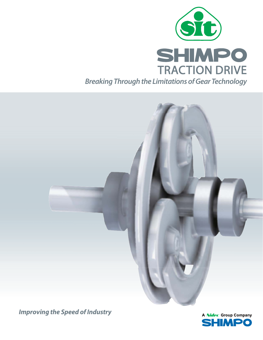



*Improving the Speed of Industry*

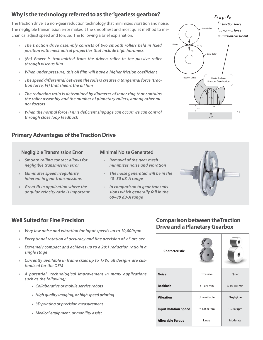## **Why is the technology referred to as the "gearless gearbox?**

The traction drive is a non-gear reduction technology that minimizes vibration and noise. The negligible transmission error makes it the smoothest and most quiet method to mechanical adjust speed and torque. The following a brief explanation.

- › *The traction drive assembly consists of two smooth rollers held in fixed position with mechanical properties that include high hardness*
- › *(Fn) Power is transmitted from the driven roller to the passive roller through viscous film*
- › *When under pressure, this oil film will have a higher friction coefficient*
- › *The speed differential between the rollers creates a tangential force (traction force, Ft) that shears the oil film*
- › *The reduction ratio is determined by diameter of inner ring that contains the roller assembly and the number of planetary rollers, among other minor factors*
- *When the normal force (Fn) is deficient slippage can occur; we can control through close loop feedback*

## **Primary Advantages of the Traction Drive**

#### **Negligible Transmission Error Minimal Noise Generated**

- › *Smooth rolling contact allows for negligible transmission error*
- › *Eliminates speed irregularity inherent in gear transmissions*
- › *Great fit in application where the angular velocity ratio is important*

- › *Removal of the gear mesh minimizes noise and vibration*
- › *The noise generated will be in the 40–50 dB-A range*
- › *In comparison to gear transmissions which generally fall in the 60–80 dB-A range*

## **Well Suited for Fine Precision Comparison between theTraction Drive and a Planetary Gearbox**

| <b>Characteristic</b>       |                         |                    |
|-----------------------------|-------------------------|--------------------|
| <b>Noise</b>                | Excessive               | Quiet              |
| <b>Backlash</b>             | $\geq 1$ arc-min        | $\leq .08$ arc-min |
| <b>Vibration</b>            | Unavoidable             | Negligible         |
| <b>Input Rotation Speed</b> | $\textdegree$ 6,000 rpm | 10,000 rpm         |
| <b>Allowable Torque</b>     | Large                   | Moderate           |



- 
- › *Very low noise and vibration for input speeds up to 10,000rpm*
- › *Exceptional rotation al accuracy and fine precision of <5 arc-sec*
- › *Extremely compact and achieves up to a 20:1 reduction ratio in a single stage*
- › *Currently available in frame sizes up to 1kW; all designs are customized for the OEM*
- › *A potential technological improvement in many applications such as the following;*
	- *Collaborative or mobile service robots*
	- *High quality imaging, or high speed printing*
	- *3D printing or precision measurement*
	- *Medical equipment, or mobility assist*